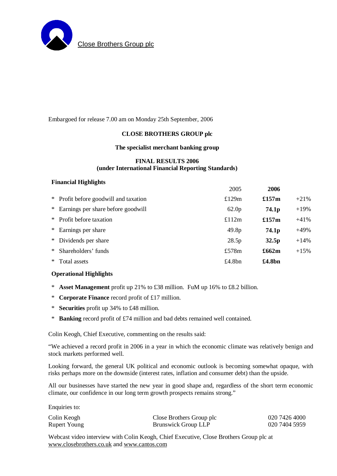

# Embargoed for release 7.00 am on Monday 25th September, 2006

# **CLOSE BROTHERS GROUP plc**

#### **The specialist merchant banking group**

# **FINAL RESULTS 2006 (under International Financial Reporting Standards)**

#### **Financial Highlights**

|        |                                       | 2005              | 2006              |         |
|--------|---------------------------------------|-------------------|-------------------|---------|
|        | * Profit before goodwill and taxation | £129 $m$          | £157 $m$          | $+21%$  |
|        | * Earnings per share before goodwill  | 62.0 <sub>p</sub> | 74.1 <sub>p</sub> | $+19\%$ |
|        | * Profit before taxation              | £112 $m$          | £157 $m$          | $+41%$  |
|        | * Earnings per share                  | 49.8 <sub>p</sub> | 74.1 <sub>p</sub> | $+49%$  |
|        | * Dividends per share                 | 28.5p             | 32.5 <sub>p</sub> | $+14\%$ |
| ∗      | Shareholders' funds                   | £578 $m$          | £662m             | $+15%$  |
| $\ast$ | Total assets                          | £4.8 $bn$         | £4.8bn            |         |

# **Operational Highlights**

- \* **Asset Management** profit up 21% to £38 million. FuM up 16% to £8.2 billion.
- \* **Corporate Finance** record profit of £17 million.
- \* **Securities** profit up 34% to £48 million.
- \* **Banking** record profit of £74 million and bad debts remained well contained.

Colin Keogh, Chief Executive, commenting on the results said:

"We achieved a record profit in 2006 in a year in which the economic climate was relatively benign and stock markets performed well.

Looking forward, the general UK political and economic outlook is becoming somewhat opaque, with risks perhaps more on the downside (interest rates, inflation and consumer debt) than the upside.

All our businesses have started the new year in good shape and, regardless of the short term economic climate, our confidence in our long term growth prospects remains strong."

Enquiries to:

| Colin Keogh  | Close Brothers Group plc | 020 7426 4000 |
|--------------|--------------------------|---------------|
| Rupert Young | Brunswick Group LLP      | 020 7404 5959 |

Webcast video interview with Colin Keogh, Chief Executive, Close Brothers Group plc at [www.closebrothers.co.uk](http://www.closebrothers.co.uk) and [www.cantos.com](http://www.cantos.com)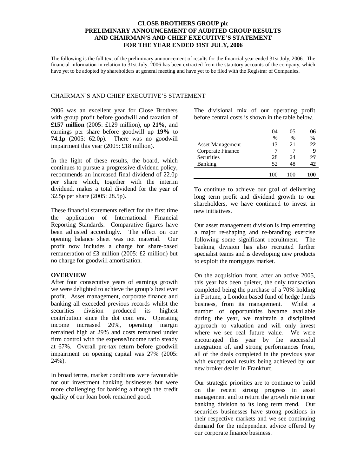## **CLOSE BROTHERS GROUP plc PRELIMINARY ANNOUNCEMENT OF AUDITED GROUP RESULTS AND CHAIRMAN'S AND CHIEF EXECUTIVE'S STATEMENT FOR THE YEAR ENDED 31ST JULY, 2006**

The following is the full text of the preliminary announcement of results for the financial year ended 31st July, 2006. The financial information in relation to 31st July, 2006 has been extracted from the statutory accounts of the company, which have yet to be adopted by shareholders at general meeting and have yet to be filed with the Registrar of Companies.

# CHAIRMAN'S AND CHIEF EXECUTIVE'S STATEMENT

2006 was an excellent year for Close Brothers with group profit before goodwill and taxation of **£157 million** (2005: £129 million), up **21%**, and earnings per share before goodwill up **19%** to **74.1p** (2005: 62.0p). There was no goodwill impairment this year (2005: £18 million).

In the light of these results, the board, which continues to pursue a progressive dividend policy, recommends an increased final dividend of 22.0p per share which, together with the interim dividend, makes a total dividend for the year of 32.5p per share (2005: 28.5p).

These financial statements reflect for the first time the application of International Financial Reporting Standards. Comparative figures have been adjusted accordingly. The effect on our opening balance sheet was not material. Our profit now includes a charge for share-based remuneration of £3 million (2005: £2 million) but no charge for goodwill amortisation.

# **OVERVIEW**

After four consecutive years of earnings growth we were delighted to achieve the group's best ever profit. Asset management, corporate finance and banking all exceeded previous records whilst the securities division produced its highest contribution since the dot com era. Operating income increased 20%, operating margin remained high at 29% and costs remained under firm control with the expense/income ratio steady at 67%. Overall pre-tax return before goodwill impairment on opening capital was 27% (2005: 24%).

In broad terms, market conditions were favourable for our investment banking businesses but were more challenging for banking although the credit quality of our loan book remained good.

The divisional mix of our operating profit before central costs is shown in the table below.

|                         | 04   | 05            | 06            |
|-------------------------|------|---------------|---------------|
|                         | $\%$ | $\frac{0}{0}$ | $\frac{0}{0}$ |
| <b>Asset Management</b> | 13   | 21            | 22            |
| Corporate Finance       |      |               | 9             |
| Securities              | 28   | 24            | 27            |
| <b>Banking</b>          | 52   | 48            | 12            |
|                         |      | 100           | 100           |

To continue to achieve our goal of delivering long term profit and dividend growth to our shareholders, we have continued to invest in new initiatives.

Our asset management division is implementing a major re-shaping and re-branding exercise following some significant recruitment. The banking division has also recruited further specialist teams and is developing new products to exploit the mortgages market.

On the acquisition front, after an active 2005, this year has been quieter, the only transaction completed being the purchase of a 70% holding in Fortune, a London based fund of hedge funds business, from its management. Whilst a number of opportunities became available during the year, we maintain a disciplined approach to valuation and will only invest where we see real future value. We were encouraged this year by the successful integration of, and strong performances from, all of the deals completed in the previous year with exceptional results being achieved by our new broker dealer in Frankfurt.

Our strategic priorities are to continue to build on the recent strong progress in asset management and to return the growth rate in our banking division to its long term trend. Our securities businesses have strong positions in their respective markets and we see continuing demand for the independent advice offered by our corporate finance business.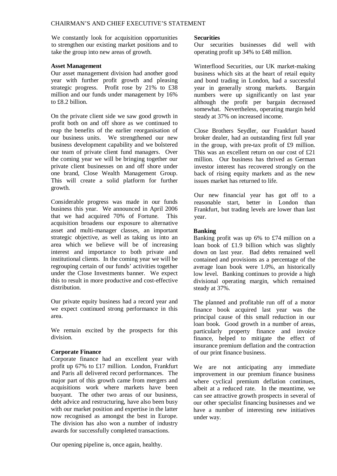We constantly look for acquisition opportunities to strengthen our existing market positions and to take the group into new areas of growth.

#### **Asset Management**

Our asset management division had another good year with further profit growth and pleasing strategic progress. Profit rose by 21% to £38 million and our funds under management by 16% to £8.2 billion.

On the private client side we saw good growth in profit both on and off shore as we continued to reap the benefits of the earlier reorganisation of our business units. We strengthened our new business development capability and we bolstered our team of private client fund managers. Over the coming year we will be bringing together our private client businesses on and off shore under one brand, Close Wealth Management Group. This will create a solid platform for further growth.

Considerable progress was made in our funds business this year. We announced in April 2006 that we had acquired 70% of Fortune. This acquisition broadens our exposure to alternative asset and multi-manager classes, an important strategic objective, as well as taking us into an area which we believe will be of increasing interest and importance to both private and institutional clients. In the coming year we will be regrouping certain of our funds' activities together under the Close Investments banner. We expect this to result in more productive and cost-effective distribution.

Our private equity business had a record year and we expect continued strong performance in this area.

We remain excited by the prospects for this division.

# **Corporate Finance**

Corporate finance had an excellent year with profit up 67% to £17 million. London, Frankfurt and Paris all delivered record performances. The major part of this growth came from mergers and acquisitions work where markets have been buoyant. The other two areas of our business, debt advice and restructuring, have also been busy with our market position and expertise in the latter now recognised as amongst the best in Europe. The division has also won a number of industry awards for successfully completed transactions.

Our opening pipeline is, once again, healthy.

#### **Securities**

Our securities businesses did well with operating profit up 34% to £48 million.

Winterflood Securities, our UK market-making business which sits at the heart of retail equity and bond trading in London, had a successful year in generally strong markets. Bargain numbers were up significantly on last year although the profit per bargain decreased somewhat. Nevertheless, operating margin held steady at 37% on increased income.

Close Brothers Seydler, our Frankfurt based broker dealer, had an outstanding first full year in the group, with pre-tax profit of £9 million. This was an excellent return on our cost of £21 million. Our business has thrived as German investor interest has recovered strongly on the back of rising equity markets and as the new issues market has returned to life.

Our new financial year has got off to a reasonable start, better in London than Frankfurt, but trading levels are lower than last year.

# **Banking**

Banking profit was up 6% to £74 million on a loan book of £1.9 billion which was slightly down on last year. Bad debts remained well contained and provisions as a percentage of the average loan book were 1.0%, an historically low level. Banking continues to provide a high divisional operating margin, which remained steady at 37%.

The planned and profitable run off of a motor finance book acquired last year was the principal cause of this small reduction in our loan book. Good growth in a number of areas, particularly property finance and invoice finance, helped to mitigate the effect of insurance premium deflation and the contraction of our print finance business.

We are not anticipating any immediate improvement in our premium finance business where cyclical premium deflation continues, albeit at a reduced rate. In the meantime, we can see attractive growth prospects in several of our other specialist financing businesses and we have a number of interesting new initiatives under way.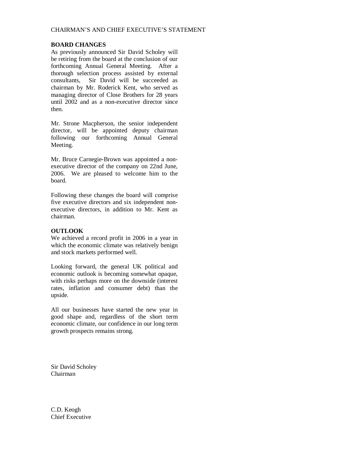#### **BOARD CHANGES**

As previously announced Sir David Scholey will be retiring from the board at the conclusion of our forthcoming Annual General Meeting. After a thorough selection process assisted by external consultants, Sir David will be succeeded as chairman by Mr. Roderick Kent, who served as managing director of Close Brothers for 28 years until 2002 and as a non-executive director since then.

Mr. Strone Macpherson, the senior independent director, will be appointed deputy chairman following our forthcoming Annual General Meeting.

Mr. Bruce Carnegie-Brown was appointed a nonexecutive director of the company on 22nd June, 2006. We are pleased to welcome him to the board.

Following these changes the board will comprise five executive directors and six independent nonexecutive directors, in addition to Mr. Kent as chairman.

# **OUTLOOK**

We achieved a record profit in 2006 in a year in which the economic climate was relatively benign and stock markets performed well.

Looking forward, the general UK political and economic outlook is becoming somewhat opaque, with risks perhaps more on the downside (interest rates, inflation and consumer debt) than the upside.

All our businesses have started the new year in good shape and, regardless of the short term economic climate, our confidence in our long term growth prospects remains strong.

Sir David Scholey Chairman

C.D. Keogh Chief Executive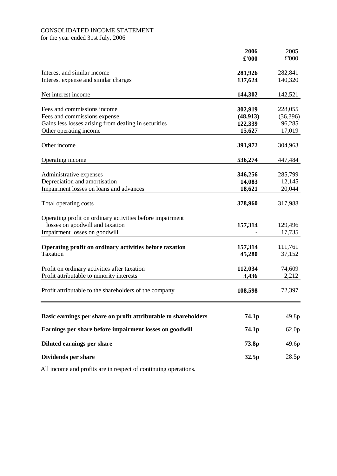# CONSOLIDATED INCOME STATEMENT

for the year ended 31st July, 2006

|                                                                 | 2006      | 2005              |
|-----------------------------------------------------------------|-----------|-------------------|
|                                                                 | £'000     | £'000             |
| Interest and similar income                                     | 281,926   | 282,841           |
| Interest expense and similar charges                            | 137,624   | 140,320           |
|                                                                 |           |                   |
| Net interest income                                             | 144,302   | 142,521           |
| Fees and commissions income                                     | 302,919   | 228,055           |
| Fees and commissions expense                                    | (48, 913) | (36, 396)         |
| Gains less losses arising from dealing in securities            | 122,339   | 96,285            |
| Other operating income                                          | 15,627    | 17,019            |
| Other income                                                    | 391,972   | 304,963           |
|                                                                 |           |                   |
| Operating income                                                | 536,274   | 447,484           |
| Administrative expenses                                         | 346,256   | 285,799           |
| Depreciation and amortisation                                   | 14,083    | 12,145            |
| Impairment losses on loans and advances                         | 18,621    | 20,044            |
|                                                                 |           |                   |
| Total operating costs                                           | 378,960   | 317,988           |
| Operating profit on ordinary activities before impairment       |           |                   |
| losses on goodwill and taxation                                 | 157,314   | 129,496           |
| Impairment losses on goodwill                                   |           | 17,735            |
|                                                                 |           |                   |
| Operating profit on ordinary activities before taxation         | 157,314   | 111,761           |
| <b>Taxation</b>                                                 | 45,280    | 37,152            |
| Profit on ordinary activities after taxation                    | 112,034   | 74,609            |
| Profit attributable to minority interests                       | 3,436     | 2,212             |
|                                                                 |           |                   |
| Profit attributable to the shareholders of the company          | 108,598   | 72,397            |
|                                                                 |           |                   |
| Basic earnings per share on profit attributable to shareholders | 74.1p     | 49.8p             |
| Earnings per share before impairment losses on goodwill         | 74.1p     | 62.0 <sub>p</sub> |
| Diluted earnings per share                                      | 73.8p     | 49.6p             |
| Dividends per share                                             | 32.5p     | 28.5p             |
|                                                                 |           |                   |

All income and profits are in respect of continuing operations.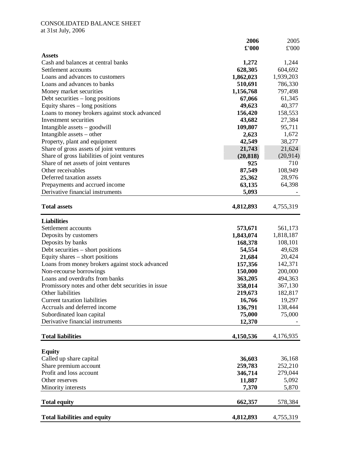# CONSOLIDATED BALANCE SHEET

at 31st July, 2006

|                                                     | 2006      | 2005              |
|-----------------------------------------------------|-----------|-------------------|
|                                                     | £'000     | £'000             |
| <b>Assets</b>                                       |           |                   |
| Cash and balances at central banks                  | 1,272     | 1,244             |
| Settlement accounts                                 | 628,305   | 604,692           |
| Loans and advances to customers                     | 1,862,023 | 1,939,203         |
| Loans and advances to banks                         | 510,691   | 786,330           |
| Money market securities                             | 1,156,768 | 797,498           |
| Debt securities – long positions                    | 67,066    | 61,345            |
| Equity shares – long positions                      | 49,623    | 40,377            |
| Loans to money brokers against stock advanced       | 156,420   | 158,553           |
| Investment securities                               | 43,682    | 27,384            |
| Intangible assets $-$ goodwill                      | 109,807   | 95,711            |
| Intangible assets – other                           | 2,623     | 1,672             |
| Property, plant and equipment                       | 42,549    | 38,277            |
| Share of gross assets of joint ventures             | 21,743    | 21,624            |
| Share of gross liabilities of joint ventures        | (20, 818) | (20, 914)         |
| Share of net assets of joint ventures               | 925       | 710               |
| Other receivables                                   | 87,549    | 108,949           |
| Deferred taxation assets                            | 25,362    | 28,976            |
| Prepayments and accrued income                      | 63,135    | 64,398            |
| Derivative financial instruments                    | 5,093     |                   |
| <b>Total assets</b>                                 | 4,812,893 | 4,755,319         |
|                                                     |           |                   |
| <b>Liabilities</b>                                  |           |                   |
| Settlement accounts                                 | 573,671   | 561,173           |
| Deposits by customers                               | 1,843,074 | 1,818,187         |
| Deposits by banks                                   | 168,378   | 108,101<br>49,628 |
| Debt securities - short positions                   | 54,554    |                   |
| Equity shares – short positions                     | 21,684    | 20,424            |
| Loans from money brokers against stock advanced     | 157,356   | 142,371           |
| Non-recourse borrowings                             | 150,000   | 200,000           |
| Loans and overdrafts from banks                     | 363,205   | 494,363           |
| Promissory notes and other debt securities in issue | 358,014   | 367,130           |
| Other liabilities                                   | 219,673   | 182,817           |
| <b>Current taxation liabilities</b>                 | 16,766    | 19,297            |
| Accruals and deferred income                        | 136,791   | 138,444           |
| Subordinated loan capital                           | 75,000    | 75,000            |
| Derivative financial instruments                    | 12,370    |                   |
| <b>Total liabilities</b>                            | 4,150,536 | 4,176,935         |
|                                                     |           |                   |
| <b>Equity</b>                                       |           |                   |
| Called up share capital                             | 36,603    | 36,168            |
| Share premium account<br>Profit and loss account    | 259,783   | 252,210           |
|                                                     | 346,714   | 279,044           |
| Other reserves                                      | 11,887    | 5,092             |
| Minority interests                                  | 7,370     | 5,870             |
| <b>Total equity</b>                                 | 662,357   | 578,384           |
| <b>Total liabilities and equity</b>                 | 4,812,893 | 4,755,319         |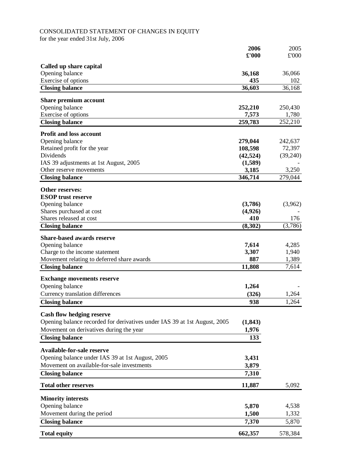# CONSOLIDATED STATEMENT OF CHANGES IN EQUITY

for the year ended 31st July, 2006

|                                                                           | 2006          | 2005     |
|---------------------------------------------------------------------------|---------------|----------|
|                                                                           | $\pounds 000$ | £'000    |
| Called up share capital                                                   |               |          |
| Opening balance                                                           | 36,168        | 36,066   |
| Exercise of options                                                       | 435           | 102      |
| <b>Closing balance</b>                                                    | 36,603        | 36,168   |
|                                                                           |               |          |
| Share premium account                                                     |               |          |
| Opening balance                                                           | 252,210       | 250,430  |
| Exercise of options                                                       | 7,573         | 1,780    |
| <b>Closing balance</b>                                                    | 259,783       | 252,210  |
| <b>Profit and loss account</b>                                            |               |          |
| Opening balance                                                           | 279,044       | 242,637  |
| Retained profit for the year                                              | 108,598       | 72,397   |
| Dividends                                                                 | (42, 524)     | (39,240) |
| IAS 39 adjustments at 1st August, 2005                                    | (1,589)       |          |
| Other reserve movements                                                   | 3,185         | 3,250    |
| <b>Closing balance</b>                                                    | 346,714       | 279,044  |
| <b>Other reserves:</b>                                                    |               |          |
| <b>ESOP</b> trust reserve                                                 |               |          |
| Opening balance                                                           | (3,786)       | (3,962)  |
| Shares purchased at cost                                                  | (4,926)       |          |
| Shares released at cost                                                   | 410           | 176      |
| <b>Closing balance</b>                                                    | (8,302)       | (3,786)  |
|                                                                           |               |          |
| <b>Share-based awards reserve</b>                                         |               |          |
| Opening balance                                                           | 7,614         | 4,285    |
| Charge to the income statement                                            | 3,307         | 1,940    |
| Movement relating to deferred share awards                                | 887           | 1,389    |
| <b>Closing balance</b>                                                    | 11,808        | 7,614    |
| <b>Exchange movements reserve</b>                                         |               |          |
| Opening balance                                                           | 1,264         |          |
| Currency translation differences                                          | (326)         | 1,264    |
| <b>Closing balance</b>                                                    | 938           | 1,264    |
|                                                                           |               |          |
| <b>Cash flow hedging reserve</b>                                          |               |          |
| Opening balance recorded for derivatives under IAS 39 at 1st August, 2005 | (1, 843)      |          |
| Movement on derivatives during the year                                   | 1,976         |          |
| <b>Closing balance</b>                                                    | 133           |          |
| <b>Available-for-sale reserve</b>                                         |               |          |
| Opening balance under IAS 39 at 1st August, 2005                          | 3,431         |          |
| Movement on available-for-sale investments                                | 3,879         |          |
|                                                                           |               |          |
| <b>Closing balance</b>                                                    | 7,310         |          |
| <b>Total other reserves</b>                                               | 11,887        | 5,092    |
| <b>Minority interests</b>                                                 |               |          |
| Opening balance                                                           | 5,870         | 4,538    |
| Movement during the period                                                | 1,500         | 1,332    |
| <b>Closing balance</b>                                                    | 7,370         | 5,870    |
|                                                                           |               |          |
| <b>Total equity</b>                                                       | 662,357       | 578,384  |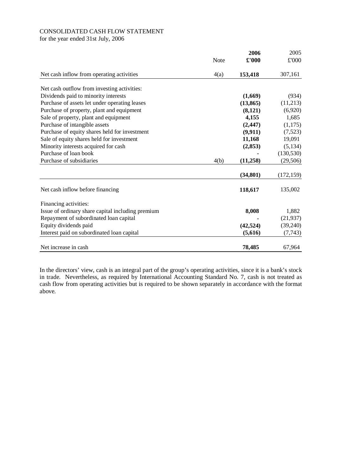# CONSOLIDATED CASH FLOW STATEMENT

for the year ended 31st July, 2006

|                                                   |             | 2006      | 2005       |
|---------------------------------------------------|-------------|-----------|------------|
|                                                   | <b>Note</b> | £'000     | £'000      |
| Net cash inflow from operating activities         | 4(a)        | 153,418   | 307,161    |
| Net cash outflow from investing activities:       |             |           |            |
| Dividends paid to minority interests              |             | (1,669)   | (934)      |
| Purchase of assets let under operating leases     |             | (13, 865) | (11,213)   |
| Purchase of property, plant and equipment         |             | (8,121)   | (6,920)    |
| Sale of property, plant and equipment             |             | 4,155     | 1,685      |
| Purchase of intangible assets                     |             | (2, 447)  | (1,175)    |
| Purchase of equity shares held for investment     |             | (9, 911)  | (7,523)    |
| Sale of equity shares held for investment         |             | 11,168    | 19,091     |
| Minority interests acquired for cash              |             | (2, 853)  | (5, 134)   |
| Purchase of loan book                             |             |           | (130, 530) |
| Purchase of subsidiaries                          | 4(b)        | (11,258)  | (29, 506)  |
|                                                   |             | (34, 801) | (172, 159) |
| Net cash inflow before financing                  |             | 118,617   | 135,002    |
| Financing activities:                             |             |           |            |
| Issue of ordinary share capital including premium |             | 8,008     | 1,882      |
| Repayment of subordinated loan capital            |             |           | (21, 937)  |
| Equity dividends paid                             |             | (42, 524) | (39,240)   |
| Interest paid on subordinated loan capital        |             | (5,616)   | (7, 743)   |
| Net increase in cash                              |             | 78,485    | 67,964     |

In the directors' view, cash is an integral part of the group's operating activities, since it is a bank's stock in trade. Nevertheless, as required by International Accounting Standard No. 7, cash is not treated as cash flow from operating activities but is required to be shown separately in accordance with the format above.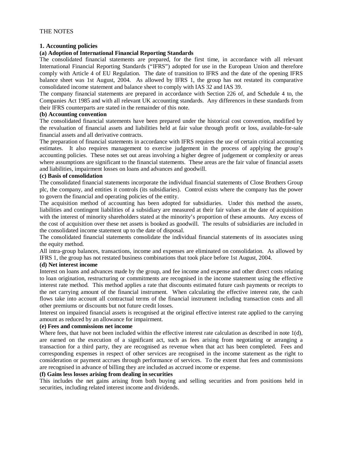#### **1. Accounting policies**

#### **(a) Adoption of International Financial Reporting Standards**

The consolidated financial statements are prepared, for the first time, in accordance with all relevant International Financial Reporting Standards ("IFRS") adopted for use in the European Union and therefore comply with Article 4 of EU Regulation. The date of transition to IFRS and the date of the opening IFRS balance sheet was 1st August, 2004. As allowed by IFRS 1, the group has not restated its comparative consolidated income statement and balance sheet to comply with IAS 32 and IAS 39.

The company financial statements are prepared in accordance with Section 226 of, and Schedule 4 to, the Companies Act 1985 and with all relevant UK accounting standards. Any differences in these standards from their IFRS counterparts are stated in the remainder of this note.

#### **(b) Accounting convention**

The consolidated financial statements have been prepared under the historical cost convention, modified by the revaluation of financial assets and liabilities held at fair value through profit or loss, available-for-sale financial assets and all derivative contracts.

The preparation of financial statements in accordance with IFRS requires the use of certain critical accounting estimates. It also requires management to exercise judgement in the process of applying the group's accounting policies. These notes set out areas involving a higher degree of judgement or complexity or areas where assumptions are significant to the financial statements. These areas are the fair value of financial assets and liabilities, impairment losses on loans and advances and goodwill.

#### **(c) Basis of consolidation**

The consolidated financial statements incorporate the individual financial statements of Close Brothers Group plc, the company, and entities it controls (its subsidiaries). Control exists where the company has the power to govern the financial and operating policies of the entity.

The acquisition method of accounting has been adopted for subsidiaries. Under this method the assets, liabilities and contingent liabilities of a subsidiary are measured at their fair values at the date of acquisition with the interest of minority shareholders stated at the minority's proportion of these amounts. Any excess of the cost of acquisition over these net assets is booked as goodwill. The results of subsidiaries are included in the consolidated income statement up to the date of disposal.

The consolidated financial statements consolidate the individual financial statements of its associates using the equity method.

All intra-group balances, transactions, income and expenses are eliminated on consolidation. As allowed by IFRS 1, the group has not restated business combinations that took place before 1st August, 2004.

### **(d) Net interest income**

Interest on loans and advances made by the group, and fee income and expense and other direct costs relating to loan origination, restructuring or commitments are recognised in the income statement using the effective interest rate method. This method applies a rate that discounts estimated future cash payments or receipts to the net carrying amount of the financial instrument. When calculating the effective interest rate, the cash flows take into account all contractual terms of the financial instrument including transaction costs and all other premiums or discounts but not future credit losses.

Interest on impaired financial assets is recognised at the original effective interest rate applied to the carrying amount as reduced by an allowance for impairment.

# **(e) Fees and commissions net income**

Where fees, that have not been included within the effective interest rate calculation as described in note  $1(d)$ , are earned on the execution of a significant act, such as fees arising from negotiating or arranging a transaction for a third party, they are recognised as revenue when that act has been completed. Fees and corresponding expenses in respect of other services are recognised in the income statement as the right to consideration or payment accrues through performance of services. To the extent that fees and commissions are recognised in advance of billing they are included as accrued income or expense.

#### **(f) Gains less losses arising from dealing in securities**

This includes the net gains arising from both buying and selling securities and from positions held in securities, including related interest income and dividends.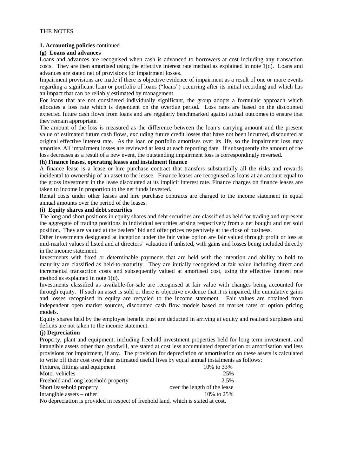### **1. Accounting policies** continued

#### **(g) Loans and advances**

Loans and advances are recognised when cash is advanced to borrowers at cost including any transaction costs. They are then amortised using the effective interest rate method as explained in note 1(d). Loans and advances are stated net of provisions for impairment losses.

Impairment provisions are made if there is objective evidence of impairment as a result of one or more events regarding a significant loan or portfolio of loans ("loans") occurring after its initial recording and which has an impact that can be reliably estimated by management.

For loans that are not considered individually significant, the group adopts a formulaic approach which allocates a loss rate which is dependent on the overdue period. Loss rates are based on the discounted expected future cash flows from loans and are regularly benchmarked against actual outcomes to ensure that they remain appropriate.

The amount of the loss is measured as the difference between the loan's carrying amount and the present value of estimated future cash flows, excluding future credit losses that have not been incurred, discounted at original effective interest rate. As the loan or portfolio amortises over its life, so the impairment loss may amortise. All impairment losses are reviewed at least at each reporting date. If subsequently the amount of the loss decreases as a result of a new event, the outstanding impairment loss is correspondingly reversed.

#### **(h) Finance leases, operating leases and instalment finance**

A finance lease is a lease or hire purchase contract that transfers substantially all the risks and rewards incidental to ownership of an asset to the lessee. Finance leases are recognised as loans at an amount equal to the gross investment in the lease discounted at its implicit interest rate. Finance charges on finance leases are taken to income in proportion to the net funds invested.

Rental costs under other leases and hire purchase contracts are charged to the income statement in equal annual amounts over the period of the leases.

#### **(i) Equity shares and debt securities**

The long and short positions in equity shares and debt securities are classified as held for trading and represent the aggregate of trading positions in individual securities arising respectively from a net bought and net sold position. They are valued at the dealers' bid and offer prices respectively at the close of business.

Other investments designated at inception under the fair value option are fair valued through profit or loss at mid-market values if listed and at directors' valuation if unlisted, with gains and losses being included directly in the income statement.

Investments with fixed or determinable payments that are held with the intention and ability to hold to maturity are classified as held-to-maturity. They are initially recognised at fair value including direct and incremental transaction costs and subsequently valued at amortised cost, using the effective interest rate method as explained in note 1(d).

Investments classified as available-for-sale are recognised at fair value with changes being accounted for through equity. If such an asset is sold or there is objective evidence that it is impaired, the cumulative gains and losses recognised in equity are recycled to the income statement. Fair values are obtained from independent open market sources, discounted cash flow models based on market rates or option pricing models.

Equity shares held by the employee benefit trust are deducted in arriving at equity and realised surpluses and deficits are not taken to the income statement.

#### **(j) Depreciation**

Property, plant and equipment, including freehold investment properties held for long term investment, and intangible assets other than goodwill, are stated at cost less accumulated depreciation or amortisation and less provisions for impairment, if any. The provision for depreciation or amortisation on these assets is calculated to write off their cost over their estimated useful lives by equal annual instalments as follows:

| Fixtures, fittings and equipment                                                  | 10\% to 33\%                 |  |  |  |
|-----------------------------------------------------------------------------------|------------------------------|--|--|--|
| Motor vehicles                                                                    | 25%                          |  |  |  |
| Freehold and long leasehold property                                              | 2.5%                         |  |  |  |
| Short leasehold property                                                          | over the length of the lease |  |  |  |
| Intangible assets $-$ other                                                       | 10\% to 25\%                 |  |  |  |
| No depreciation is provided in respect of freehold land, which is stated at cost. |                              |  |  |  |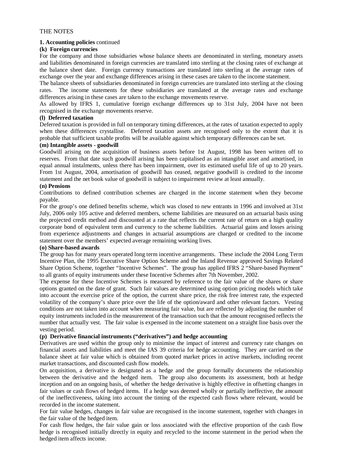#### **1. Accounting policies** continued

#### **(k) Foreign currencies**

For the company and those subsidiaries whose balance sheets are denominated in sterling, monetary assets and liabilities denominated in foreign currencies are translated into sterling at the closing rates of exchange at the balance sheet date. Foreign currency transactions are translated into sterling at the average rates of exchange over the year and exchange differences arising in these cases are taken to the income statement.

The balance sheets of subsidiaries denominated in foreign currencies are translated into sterling at the closing rates. The income statements for these subsidiaries are translated at the average rates and exchange differences arising in these cases are taken to the exchange movements reserve.

As allowed by IFRS 1, cumulative foreign exchange differences up to 31st July, 2004 have not been recognised in the exchange movements reserve.

#### **(l) Deferred taxation**

Deferred taxation is provided in full on temporary timing differences, at the rates of taxation expected to apply when these differences crystallise. Deferred taxation assets are recognised only to the extent that it is probable that sufficient taxable profits will be available against which temporary differences can be set.

#### **(m) Intangible assets - goodwill**

Goodwill arising on the acquisition of business assets before 1st August, 1998 has been written off to reserves. From that date such goodwill arising has been capitalised as an intangible asset and amortised, in equal annual instalments, unless there has been impairment, over its estimated useful life of up to 20 years. From 1st August, 2004, amortisation of goodwill has ceased, negative goodwill is credited to the income statement and the net book value of goodwill is subject to impairment review at least annually.

#### **(n) Pensions**

Contributions to defined contribution schemes are charged in the income statement when they become payable.

For the group's one defined benefits scheme, which was closed to new entrants in 1996 and involved at 31st July, 2006 only 105 active and deferred members, scheme liabilities are measured on an actuarial basis using the projected credit method and discounted at a rate that reflects the current rate of return on a high quality corporate bond of equivalent term and currency to the scheme liabilities. Actuarial gains and losses arising from experience adjustments and changes in actuarial assumptions are charged or credited to the income statement over the members' expected average remaining working lives.

#### **(o) Share-based awards**

The group has for many years operated long term incentive arrangements. These include the 2004 Long Term Incentive Plan, the 1995 Executive Share Option Scheme and the Inland Revenue approved Savings Related Share Option Scheme, together "Incentive Schemes". The group has applied IFRS 2 "Share-based Payment" to all grants of equity instruments under these Incentive Schemes after 7th November, 2002.

The expense for these Incentive Schemes is measured by reference to the fair value of the shares or share options granted on the date of grant. Such fair values are determined using option pricing models which take into account the exercise price of the option, the current share price, the risk free interest rate, the expected volatility of the company's share price over the life of the option/award and other relevant factors. Vesting conditions are not taken into account when measuring fair value, but are reflected by adjusting the number of equity instruments included in the measurement of the transaction such that the amount recognised reflects the number that actually vest. The fair value is expensed in the income statement on a straight line basis over the vesting period.

# **(p) Derivative financial instruments ("derivatives") and hedge accounting**

Derivatives are used within the group only to minimise the impact of interest and currency rate changes on financial assets and liabilities and meet the IAS 39 criteria for hedge accounting. They are carried on the balance sheet at fair value which is obtained from quoted market prices in active markets, including recent market transactions, and discounted cash flow models.

On acquisition, a derivative is designated as a hedge and the group formally documents the relationship between the derivative and the hedged item. The group also documents its assessment, both at hedge inception and on an ongoing basis, of whether the hedge derivative is highly effective in offsetting changes in fair values or cash flows of hedged items. If a hedge was deemed wholly or partially ineffective, the amount of the ineffectiveness, taking into account the timing of the expected cash flows where relevant, would be recorded in the income statement.

For fair value hedges, changes in fair value are recognised in the income statement, together with changes in the fair value of the hedged item.

For cash flow hedges, the fair value gain or loss associated with the effective proportion of the cash flow hedge is recognised initially directly in equity and recycled to the income statement in the period when the hedged item affects income.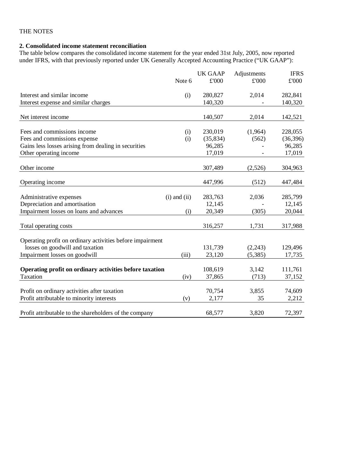# **2. Consolidated income statement reconciliation**

The table below compares the consolidated income statement for the year ended 31st July, 2005, now reported under IFRS, with that previously reported under UK Generally Accepted Accounting Practice ("UK GAAP"):

|                                                           |                  | <b>UK GAAP</b> | Adjustments   | <b>IFRS</b> |
|-----------------------------------------------------------|------------------|----------------|---------------|-------------|
|                                                           | Note 6           | £'000          | $\pounds 000$ | £'000       |
| Interest and similar income                               | (i)              | 280,827        | 2,014         | 282,841     |
| Interest expense and similar charges                      |                  | 140,320        |               | 140,320     |
| Net interest income                                       |                  | 140,507        | 2,014         | 142,521     |
| Fees and commissions income                               | (i)              | 230,019        | (1,964)       | 228,055     |
| Fees and commissions expense                              | (i)              | (35, 834)      | (562)         | (36, 396)   |
| Gains less losses arising from dealing in securities      |                  | 96,285         |               | 96,285      |
| Other operating income                                    |                  | 17,019         |               | 17,019      |
| Other income                                              |                  | 307,489        | (2,526)       | 304,963     |
| Operating income                                          |                  | 447,996        | (512)         | 447,484     |
| Administrative expenses                                   | $(i)$ and $(ii)$ | 283,763        | 2,036         | 285,799     |
| Depreciation and amortisation                             |                  | 12,145         |               | 12,145      |
| Impairment losses on loans and advances                   | (i)              | 20,349         | (305)         | 20,044      |
| Total operating costs                                     |                  | 316,257        | 1,731         | 317,988     |
| Operating profit on ordinary activities before impairment |                  |                |               |             |
| losses on goodwill and taxation                           |                  | 131,739        | (2,243)       | 129,496     |
| Impairment losses on goodwill                             | (iii)            | 23,120         | (5, 385)      | 17,735      |
| Operating profit on ordinary activities before taxation   |                  | 108,619        | 3,142         | 111,761     |
| Taxation                                                  | (iv)             | 37,865         | (713)         | 37,152      |
| Profit on ordinary activities after taxation              |                  | 70,754         | 3,855         | 74,609      |
| Profit attributable to minority interests                 | (v)              | 2,177          | 35            | 2,212       |
| Profit attributable to the shareholders of the company    |                  | 68,577         | 3,820         | 72,397      |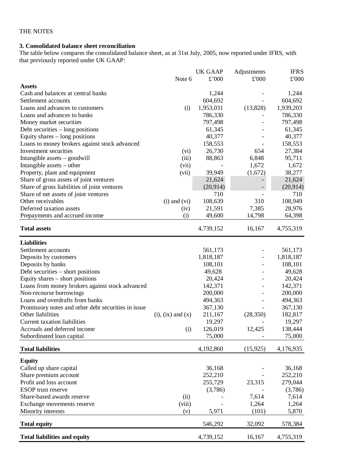# **3. Consolidated balance sheet reconciliation**

The table below compares the consolidated balance sheet, as at 31st July, 2005, now reported under IFRS, with that previously reported under UK GAAP:

|                                                     |                          | <b>UK GAAP</b> | Adjustments | <b>IFRS</b> |
|-----------------------------------------------------|--------------------------|----------------|-------------|-------------|
|                                                     | Note 6                   | £'000          | £'000       | £'000       |
| <b>Assets</b>                                       |                          |                |             |             |
| Cash and balances at central banks                  |                          | 1,244          |             | 1,244       |
| Settlement accounts                                 |                          | 604,692        |             | 604,692     |
| Loans and advances to customers                     | (i)                      | 1,953,031      | (13,828)    | 1,939,203   |
| Loans and advances to banks                         |                          | 786,330        |             | 786,330     |
| Money market securities                             |                          | 797,498        |             | 797,498     |
| Debt securities – long positions                    |                          | 61,345         |             | 61,345      |
| Equity shares $-$ long positions                    |                          | 40,377         |             | 40,377      |
| Loans to money brokers against stock advanced       |                          | 158,553        |             | 158,553     |
| Investment securities                               | (vi)                     | 26,730         | 654         | 27,384      |
| Intangible assets – goodwill                        | (iii)                    | 88,863         | 6,848       | 95,711      |
| Intangible assets – other                           | (vii)                    |                | 1,672       | 1,672       |
| Property, plant and equipment                       | (vii)                    | 39,949         | (1,672)     | 38,277      |
| Share of gross assets of joint ventures             |                          | 21,624         |             | 21,624      |
| Share of gross liabilities of joint ventures        |                          | (20, 914)      |             | (20, 914)   |
| Share of net assets of joint ventures               |                          | 710            |             | 710         |
| Other receivables                                   | $(i)$ and $(vi)$         | 108,639        | 310         | 108,949     |
| Deferred taxation assets                            | (iv)                     | 21,591         | 7,385       | 28,976      |
| Prepayments and accrued income                      | (i)                      | 49,600         | 14,798      | 64,398      |
|                                                     |                          |                |             |             |
| <b>Total assets</b>                                 |                          | 4,739,152      | 16,167      | 4,755,319   |
| <b>Liabilities</b>                                  |                          |                |             |             |
| Settlement accounts                                 |                          | 561,173        |             | 561,173     |
| Deposits by customers                               |                          | 1,818,187      |             | 1,818,187   |
| Deposits by banks                                   |                          | 108,101        |             | 108,101     |
| Debt securities - short positions                   |                          | 49,628         |             | 49,628      |
| Equity shares $-$ short positions                   |                          | 20,424         |             | 20,424      |
| Loans from money brokers against stock advanced     |                          | 142,371        |             | 142,371     |
| Non-recourse borrowings                             |                          | 200,000        |             | 200,000     |
| Loans and overdrafts from banks                     |                          | 494,363        |             | 494,363     |
| Promissory notes and other debt securities in issue |                          | 367,130        |             | 367,130     |
| Other liabilities                                   | $(i)$ , $(ix)$ and $(x)$ | 211,167        | (28, 350)   | 182,817     |
| Current taxation liabilities                        |                          | 19,297         |             | 19,297      |
| Accruals and deferred income                        | (i)                      | 126,019        | 12,425      | 138,444     |
| Subordinated loan capital                           |                          | 75,000         |             | 75,000      |
|                                                     |                          |                |             |             |
| <b>Total liabilities</b>                            |                          | 4,192,860      | (15, 925)   | 4,176,935   |
| <b>Equity</b>                                       |                          |                |             |             |
| Called up share capital                             |                          | 36,168         |             | 36,168      |
| Share premium account                               |                          | 252,210        |             | 252,210     |
| Profit and loss account                             |                          | 255,729        | 23,315      | 279,044     |
| <b>ESOP</b> trust reserve                           |                          | (3,786)        |             | (3,786)     |
| Share-based awards reserve                          | (ii)                     |                | 7,614       | 7,614       |
| Exchange movements reserve                          | (viii)                   |                | 1,264       | 1,264       |
| Minority interests                                  | (v)                      | 5,971          | (101)       | 5,870       |
| <b>Total equity</b>                                 |                          | 546,292        | 32,092      | 578,384     |
| <b>Total liabilities and equity</b>                 |                          | 4,739,152      | 16,167      | 4,755,319   |
|                                                     |                          |                |             |             |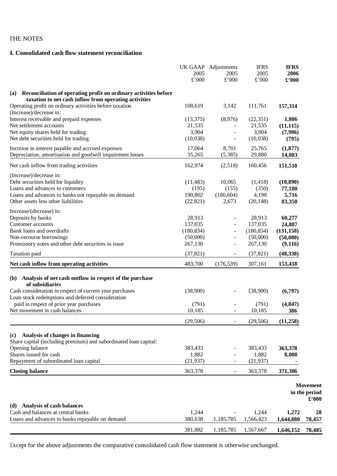# **4. Consolidated cash flow statement reconciliation**

|                                                                                                                                  | 2005       | UK GAAP Adjustments<br>2005 | <b>IFRS</b><br>2005 | <b>IFRS</b><br>2006 |                                           |
|----------------------------------------------------------------------------------------------------------------------------------|------------|-----------------------------|---------------------|---------------------|-------------------------------------------|
|                                                                                                                                  | £'000      | £'000                       | £'000               | $\pounds$ '000      |                                           |
| Reconciliation of operating profit on ordinary activities before<br>(a)<br>taxation to net cash inflow from operating activities |            |                             |                     |                     |                                           |
| Operating profit on ordinary activities before taxation<br>(Increase)/decrease in:                                               | 108,619    | 3,142                       | 111,761             | 157,314             |                                           |
| Interest receivable and prepaid expenses                                                                                         | (13, 375)  | (8,976)                     | (22, 351)           | 1,886               |                                           |
| Net settlement accounts                                                                                                          | 21,535     |                             | 21,535              | (11, 115)           |                                           |
| Net equity shares held for trading                                                                                               | 3,904      |                             | 3,904               | (7,986)             |                                           |
| Net debt securities held for trading                                                                                             | (10,038)   |                             | (10,038)            | (795)               |                                           |
| Increase in interest payable and accrued expenses                                                                                | 17,064     | 8,701                       | 25,765              | (1, 877)            |                                           |
| Depreciation, amortisation and goodwill impairment losses                                                                        | 35,265     | (5,385)                     | 29,880              | 14,083              |                                           |
| Net cash inflow from trading activities                                                                                          | 162,974    | (2,518)                     | 160,456             | 151,510             |                                           |
| (Increase)/decrease in:                                                                                                          |            |                             |                     |                     |                                           |
| Debt securities held for liquidity                                                                                               | (11, 483)  | 10,065                      | (1,418)             | (10, 890)           |                                           |
| Loans and advances to customers                                                                                                  | (195)      | (155)                       | (350)               | 77,180              |                                           |
| Loans and advances to banks not repayable on demand                                                                              | 190,802    | (186, 604)                  | 4,198               | 5,716               |                                           |
| Other assets less other liabilities                                                                                              | (22, 821)  | 2,673                       | (20, 148)           | 83,350              |                                           |
| Increase/(decrease) in:                                                                                                          |            |                             |                     |                     |                                           |
| Deposits by banks                                                                                                                | 28,913     |                             | 28,913              | 60,277              |                                           |
| Customer accounts                                                                                                                | 137,035    |                             | 137,035             | 24,887              |                                           |
| Bank loans and overdrafts                                                                                                        | (180, 834) |                             | (180, 834)          | (131, 158)          |                                           |
| Non-recourse borrowings                                                                                                          | (50,000)   |                             | (50,000)            | (50,000)            |                                           |
| Promissory notes and other debt securities in issue                                                                              | 267,130    |                             | 267,130             | (9,116)             |                                           |
| Taxation paid                                                                                                                    | (37, 821)  |                             | (37, 821)           | (48, 338)           |                                           |
| Net cash inflow from operating activities                                                                                        | 483,700    | (176, 539)                  | 307,161             | 153,418             |                                           |
| Analysis of net cash outflow in respect of the purchase<br>(b)<br>of subsidiaries                                                |            |                             |                     |                     |                                           |
| Cash consideration in respect of current year purchases                                                                          | (38,900)   |                             | (38,900)            | (6,797)             |                                           |
| Loan stock redemptions and deferred consideration                                                                                |            |                             |                     |                     |                                           |
| paid in respect of prior year purchases                                                                                          | (791)      |                             | (791)               | (4, 847)            |                                           |
| Net movement in cash balances                                                                                                    | 10,185     |                             | 10,185              | 386                 |                                           |
|                                                                                                                                  | (29, 506)  |                             | (29, 506)           | (11,258)            |                                           |
|                                                                                                                                  |            |                             |                     |                     |                                           |
| Analysis of changes in financing<br>(c)<br>Share capital (including premium) and subordinated loan capital:                      |            |                             |                     |                     |                                           |
| Opening balance                                                                                                                  | 383,433    |                             | 383,433             | 363,378             |                                           |
| Shares issued for cash                                                                                                           | 1,882      |                             | 1,882               | 8,008               |                                           |
| Repayment of subordinated loan capital                                                                                           | (21, 937)  |                             | (21, 937)           |                     |                                           |
| <b>Closing balance</b>                                                                                                           | 363,378    | $\overline{\phantom{a}}$    | 363,378             | 371,386             |                                           |
|                                                                                                                                  |            |                             |                     |                     |                                           |
|                                                                                                                                  |            |                             |                     |                     | <b>Movement</b><br>in the period<br>£'000 |
| Analysis of cash balances<br>(d)                                                                                                 |            |                             |                     |                     |                                           |
| Cash and balances at central banks                                                                                               | 1,244      |                             | 1,244               | 1,272               | 28                                        |
| Loans and advances to banks repayable on demand                                                                                  | 380,638    | 1,185,785                   | 1,566,423           | 1,644,880           | 78,457                                    |
|                                                                                                                                  | 381,882    | 1,185,785                   | 1,567,667           | 1,646,152           | 78,485                                    |

Except for the above adjustments the comparative consolidated cash flow statement is otherwise unchanged.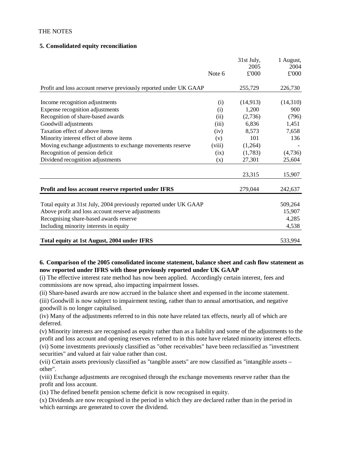# **5. Consolidated equity reconciliation**

|                                                                   | Note 6 | 31st July,<br>2005<br>£'000 | 1 August,<br>2004<br>£'000 |
|-------------------------------------------------------------------|--------|-----------------------------|----------------------------|
| Profit and loss account reserve previously reported under UK GAAP |        | 255,729                     | 226,730                    |
| Income recognition adjustments                                    | (i)    | (14, 913)                   | (14,310)                   |
| Expense recognition adjustments                                   | (i)    | 1,200                       | 900                        |
| Recognition of share-based awards                                 | (ii)   | (2,736)                     | (796)                      |
| Goodwill adjustments                                              | (iii)  | 6,836                       | 1,451                      |
| Taxation effect of above items                                    | (iv)   | 8,573                       | 7,658                      |
| Minority interest effect of above items                           | (v)    | 101                         | 136                        |
| Moving exchange adjustments to exchange movements reserve         | (viii) | (1,264)                     |                            |
| Recognition of pension deficit                                    | (ix)   | (1,783)                     | (4,736)                    |
| Dividend recognition adjustments                                  | (x)    | 27,301                      | 25,604                     |
|                                                                   |        | 23,315                      | 15,907                     |
| Profit and loss account reserve reported under IFRS               |        | 279,044                     | 242,637                    |
| Total equity at 31st July, 2004 previously reported under UK GAAP |        |                             | 509,264                    |
| Above profit and loss account reserve adjustments                 |        |                             | 15,907                     |
| Recognising share-based awards reserve                            |        |                             | 4,285                      |
| Including minority interests in equity                            |        |                             | 4,538                      |
| Total equity at 1st August, 2004 under IFRS                       |        |                             | 533,994                    |

# **6. Comparison of the 2005 consolidated income statement, balance sheet and cash flow statement as now reported under IFRS with those previously reported under UK GAAP**

(i) The effective interest rate method has now been applied. Accordingly certain interest, fees and commissions are now spread, also impacting impairment losses.

(ii) Share-based awards are now accrued in the balance sheet and expensed in the income statement. (iii) Goodwill is now subject to impairment testing, rather than to annual amortisation, and negative goodwill is no longer capitalised.

(iv) Many of the adjustments referred to in this note have related tax effects, nearly all of which are deferred.

(v) Minority interests are recognised as equity rather than as a liability and some of the adjustments to the profit and loss account and opening reserves referred to in this note have related minority interest effects. (vi) Some investments previously classified as "other receivables" have been reclassified as "investment securities" and valued at fair value rather than cost.

(vii) Certain assets previously classified as "tangible assets" are now classified as "intangible assets – other".

(viii) Exchange adjustments are recognised through the exchange movements reserve rather than the profit and loss account.

(ix) The defined benefit pension scheme deficit is now recognised in equity.

(x) Dividends are now recognised in the period in which they are declared rather than in the period in which earnings are generated to cover the dividend.